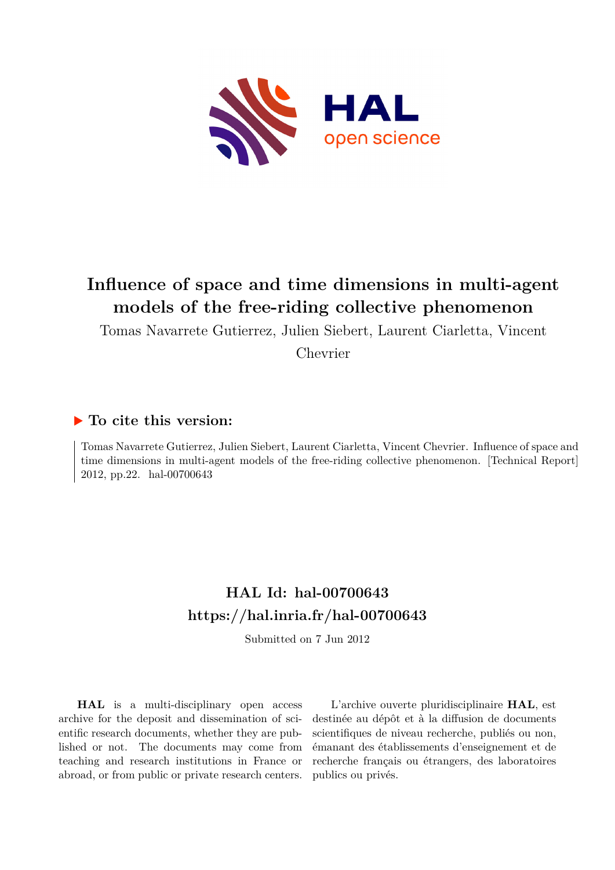

## **Influence of space and time dimensions in multi-agent models of the free-riding collective phenomenon**

Tomas Navarrete Gutierrez, Julien Siebert, Laurent Ciarletta, Vincent

Chevrier

## **To cite this version:**

Tomas Navarrete Gutierrez, Julien Siebert, Laurent Ciarletta, Vincent Chevrier. Influence of space and time dimensions in multi-agent models of the free-riding collective phenomenon. [Technical Report] 2012, pp.22. hal-00700643

## **HAL Id: hal-00700643 <https://hal.inria.fr/hal-00700643>**

Submitted on 7 Jun 2012

**HAL** is a multi-disciplinary open access archive for the deposit and dissemination of scientific research documents, whether they are published or not. The documents may come from teaching and research institutions in France or abroad, or from public or private research centers.

L'archive ouverte pluridisciplinaire **HAL**, est destinée au dépôt et à la diffusion de documents scientifiques de niveau recherche, publiés ou non, émanant des établissements d'enseignement et de recherche français ou étrangers, des laboratoires publics ou privés.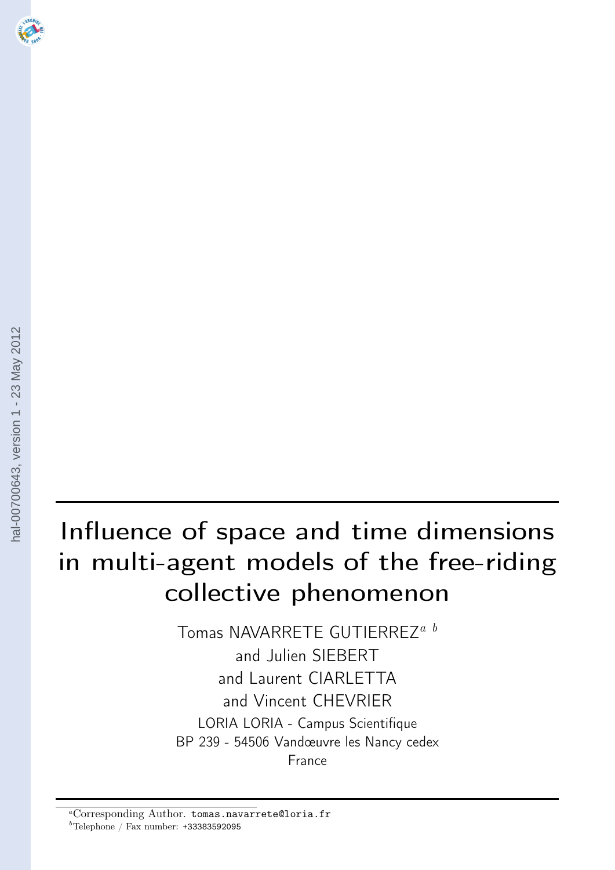# <span id="page-1-0"></span>Influence of space and time dimensions in multi-agent models of the free-riding collective phenomenon

Tomas NAVARRETE GUTIERREZ<sup>a b</sup> and Julien SIEBERT and Laurent CIARLETTA and Vincent CHEVRIER LORIA LORIA - Campus Scientifique BP 239 - 54506 Vandœuvre les Nancy cedex France

<sup>a</sup>Corresponding Author. tomas.navarrete@loria.fr  $b$ Telephone / Fax number:  $+33383592095$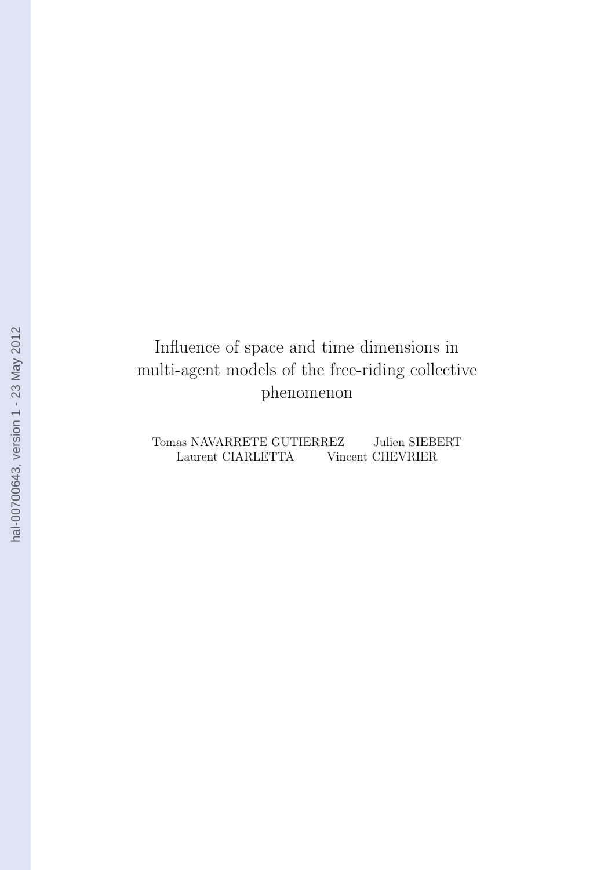## Influence of space and time dimensions in multi-agent models of the free-riding collective phenomenon

Tomas NAVARRETE GUTIERREZ Julien SIEBERT Laurent CIARLETTA Vincent CHEVRIER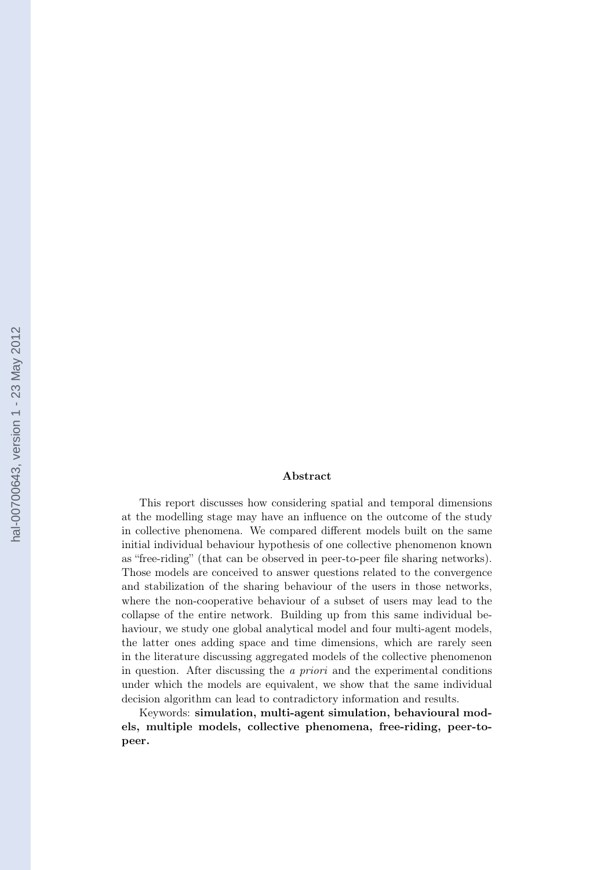#### Abstract

This report discusses how considering spatial and temporal dimensions at the modelling stage may have an influence on the outcome of the study in collective phenomena. We compared different models built on the same initial individual behaviour hypothesis of one collective phenomenon known as "free-riding" (that can be observed in peer-to-peer file sharing networks). Those models are conceived to answer questions related to the convergence and stabilization of the sharing behaviour of the users in those networks, where the non-cooperative behaviour of a subset of users may lead to the collapse of the entire network. Building up from this same individual behaviour, we study one global analytical model and four multi-agent models, the latter ones adding space and time dimensions, which are rarely seen in the literature discussing aggregated models of the collective phenomenon in question. After discussing the a priori and the experimental conditions under which the models are equivalent, we show that the same individual decision algorithm can lead to contradictory information and results.

Keywords: simulation, multi-agent simulation, behavioural models, multiple models, collective phenomena, free-riding, peer-topeer.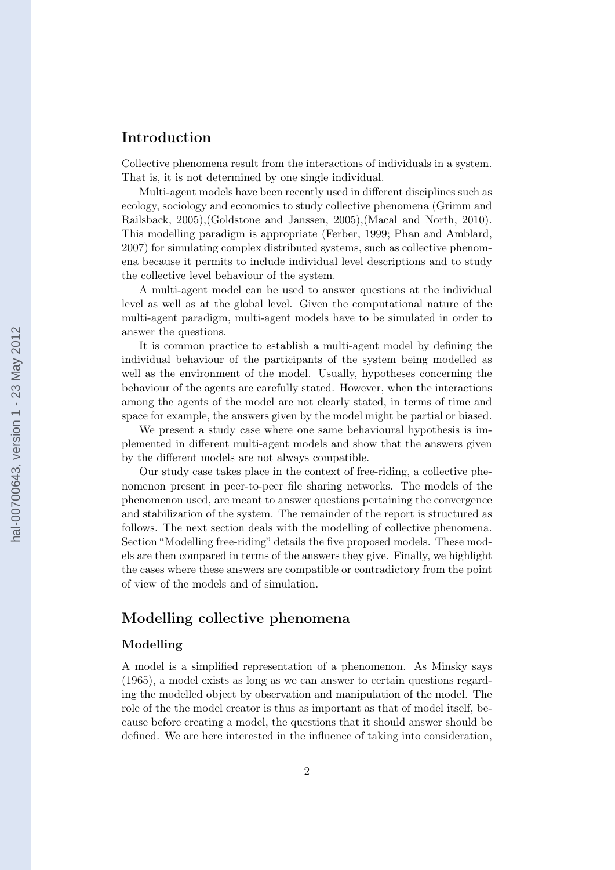## Introduction

Collective phenomena result from the interactions of individuals in a system. That is, it is not determined by one single individual.

Multi-agent models have been recently used in different disciplines such as ecology, sociology and economics to study collective phenomena [\(Grimm and](#page-20-0) [Railsback, 2005\)](#page-20-0),[\(Goldstone and Janssen, 2005\)](#page-20-0),[\(Macal and North, 2010\)](#page-20-0). This modelling paradigm is appropriate [\(Ferber, 1999;](#page-20-0) [Phan and Amblard,](#page-21-0) [2007\)](#page-21-0) for simulating complex distributed systems, such as collective phenomena because it permits to include individual level descriptions and to study the collective level behaviour of the system.

A multi-agent model can be used to answer questions at the individual level as well as at the global level. Given the computational nature of the multi-agent paradigm, multi-agent models have to be simulated in order to answer the questions.

It is common practice to establish a multi-agent model by defining the individual behaviour of the participants of the system being modelled as well as the environment of the model. Usually, hypotheses concerning the behaviour of the agents are carefully stated. However, when the interactions among the agents of the model are not clearly stated, in terms of time and space for example, the answers given by the model might be partial or biased.

We present a study case where one same behavioural hypothesis is implemented in different multi-agent models and show that the answers given by the different models are not always compatible.

Our study case takes place in the context of free-riding, a collective phenomenon present in peer-to-peer file sharing networks. The models of the phenomenon used, are meant to answer questions pertaining the convergence and stabilization of the system. The remainder of the report is structured as follows. The next section deals with the modelling of collective phenomena. Section "[Modelling free-riding"](#page-7-0) details the five proposed models. These models are then compared in terms of the answers they give. Finally, we highlight the cases where these answers are compatible or contradictory from the point of view of the models and of simulation.

## Modelling collective phenomena

#### Modelling

A model is a simplified representation of a phenomenon. As [Minsky](#page-21-0) says [\(1965\)](#page-21-0), a model exists as long as we can answer to certain questions regarding the modelled object by observation and manipulation of the model. The role of the the model creator is thus as important as that of model itself, because before creating a model, the questions that it should answer should be defined. We are here interested in the influence of taking into consideration,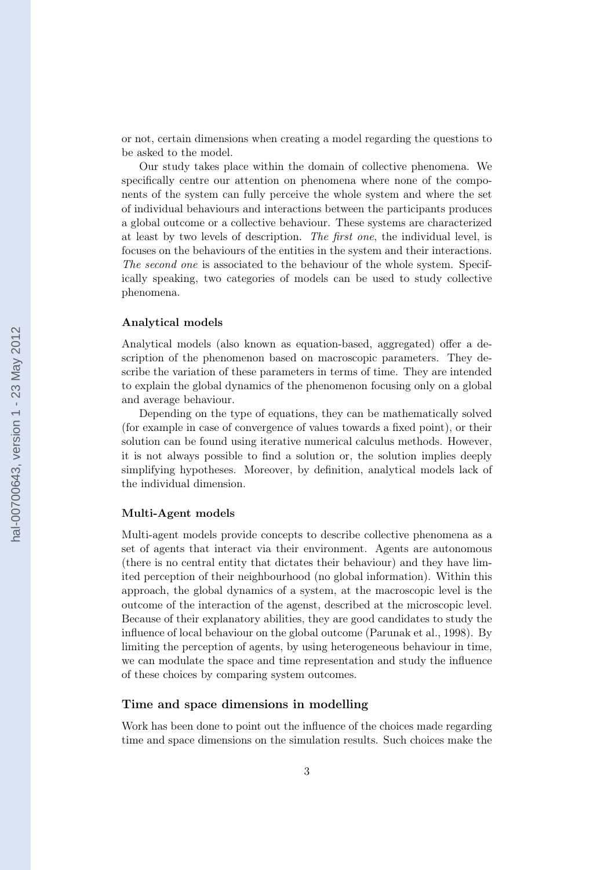or not, certain dimensions when creating a model regarding the questions to be asked to the model.

Our study takes place within the domain of collective phenomena. We specifically centre our attention on phenomena where none of the components of the system can fully perceive the whole system and where the set of individual behaviours and interactions between the participants produces a global outcome or a collective behaviour. These systems are characterized at least by two levels of description. The first one, the individual level, is focuses on the behaviours of the entities in the system and their interactions. The second one is associated to the behaviour of the whole system. Specifically speaking, two categories of models can be used to study collective phenomena.

#### Analytical models

Analytical models (also known as equation-based, aggregated) offer a description of the phenomenon based on macroscopic parameters. They describe the variation of these parameters in terms of time. They are intended to explain the global dynamics of the phenomenon focusing only on a global and average behaviour.

Depending on the type of equations, they can be mathematically solved (for example in case of convergence of values towards a fixed point), or their solution can be found using iterative numerical calculus methods. However, it is not always possible to find a solution or, the solution implies deeply simplifying hypotheses. Moreover, by definition, analytical models lack of the individual dimension.

#### Multi-Agent models

Multi-agent models provide concepts to describe collective phenomena as a set of agents that interact via their environment. Agents are autonomous (there is no central entity that dictates their behaviour) and they have limited perception of their neighbourhood (no global information). Within this approach, the global dynamics of a system, at the macroscopic level is the outcome of the interaction of the agenst, described at the microscopic level. Because of their explanatory abilities, they are good candidates to study the influence of local behaviour on the global outcome [\(Parunak et al., 1998\)](#page-21-0). By limiting the perception of agents, by using heterogeneous behaviour in time, we can modulate the space and time representation and study the influence of these choices by comparing system outcomes.

### Time and space dimensions in modelling

Work has been done to point out the influence of the choices made regarding time and space dimensions on the simulation results. Such choices make the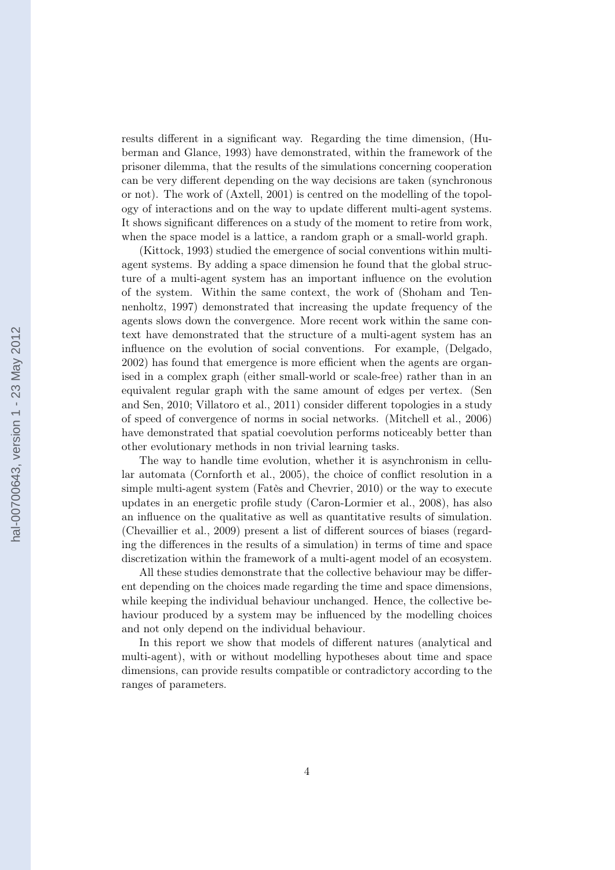results different in a significant way. Regarding the time dimension, [\(Hu](#page-20-0)[berman and Glance, 1993\)](#page-20-0) have demonstrated, within the framework of the prisoner dilemma, that the results of the simulations concerning cooperation can be very different depending on the way decisions are taken (synchronous or not). The work of [\(Axtell, 2001\)](#page-19-0) is centred on the modelling of the topology of interactions and on the way to update different multi-agent systems. It shows significant differences on a study of the moment to retire from work, when the space model is a lattice, a random graph or a small-world graph.

[\(Kittock, 1993\)](#page-20-0) studied the emergence of social conventions within multiagent systems. By adding a space dimension he found that the global structure of a multi-agent system has an important influence on the evolution of the system. Within the same context, the work of [\(Shoham and Ten](#page-21-0)[nenholtz, 1997\)](#page-21-0) demonstrated that increasing the update frequency of the agents slows down the convergence. More recent work within the same context have demonstrated that the structure of a multi-agent system has an influence on the evolution of social conventions. For example, [\(Delgado,](#page-19-0) [2002\)](#page-19-0) has found that emergence is more efficient when the agents are organised in a complex graph (either small-world or scale-free) rather than in an equivalent regular graph with the same amount of edges per vertex. [\(Sen](#page-21-0) [and Sen, 2010; Villatoro et al., 2011\)](#page-21-0) consider different topologies in a study of speed of convergence of norms in social networks. [\(Mitchell et al., 2006\)](#page-21-0) have demonstrated that spatial coevolution performs noticeably better than other evolutionary methods in non trivial learning tasks.

The way to handle time evolution, whether it is asynchronism in cellular automata [\(Cornforth et al., 2005\)](#page-19-0), the choice of conflict resolution in a simple multi-agent system [\(Fatès and Chevrier, 2010\)](#page-19-0) or the way to execute updates in an energetic profile study [\(Caron-Lormier et al., 2008\)](#page-19-0), has also an influence on the qualitative as well as quantitative results of simulation. [\(Chevaillier et al., 2009\)](#page-19-0) present a list of different sources of biases (regarding the differences in the results of a simulation) in terms of time and space discretization within the framework of a multi-agent model of an ecosystem.

All these studies demonstrate that the collective behaviour may be different depending on the choices made regarding the time and space dimensions, while keeping the individual behaviour unchanged. Hence, the collective behaviour produced by a system may be influenced by the modelling choices and not only depend on the individual behaviour.

In this report we show that models of different natures (analytical and multi-agent), with or without modelling hypotheses about time and space dimensions, can provide results compatible or contradictory according to the ranges of parameters.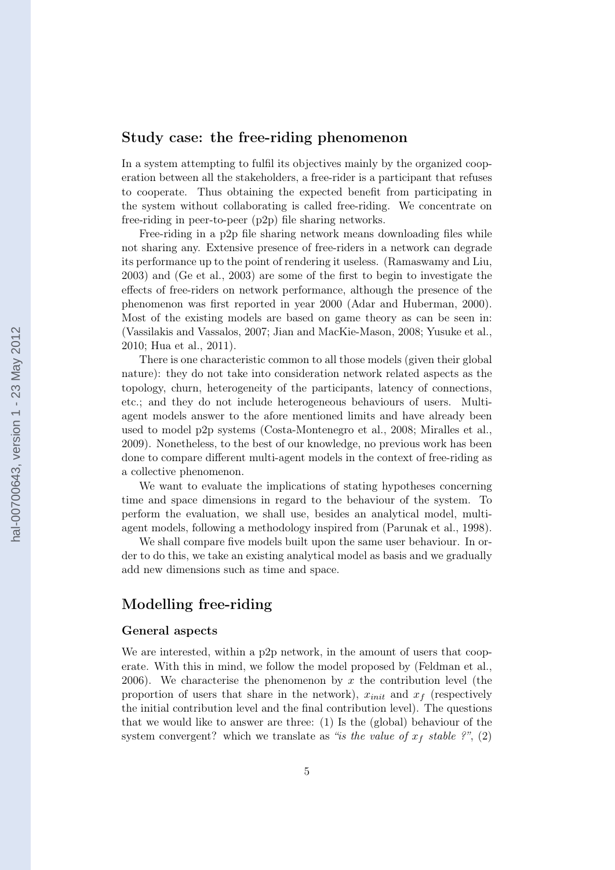## <span id="page-7-0"></span>Study case: the free-riding phenomenon

In a system attempting to fulfil its objectives mainly by the organized cooperation between all the stakeholders, a free-rider is a participant that refuses to cooperate. Thus obtaining the expected benefit from participating in the system without collaborating is called free-riding. We concentrate on free-riding in peer-to-peer (p2p) file sharing networks.

Free-riding in a p2p file sharing network means downloading files while not sharing any. Extensive presence of free-riders in a network can degrade its performance up to the point of rendering it useless. [\(Ramaswamy and Liu,](#page-21-0) [2003\)](#page-21-0) and [\(Ge et al., 2003\)](#page-20-0) are some of the first to begin to investigate the effects of free-riders on network performance, although the presence of the phenomenon was first reported in year [2000](#page-19-0) [\(Adar and Huberman, 2000\)](#page-19-0). Most of the existing models are based on game theory as can be seen in: [\(Vassilakis and Vassalos, 2007;](#page-21-0) [Jian and MacKie-Mason, 2008;](#page-20-0) [Yusuke et al.,](#page-22-0) [2010;](#page-22-0) [Hua et al., 2011\)](#page-20-0).

There is one characteristic common to all those models (given their global nature): they do not take into consideration network related aspects as the topology, churn, heterogeneity of the participants, latency of connections, etc.; and they do not include heterogeneous behaviours of users. Multiagent models answer to the afore mentioned limits and have already been used to model p2p systems [\(Costa-Montenegro et al., 2008;](#page-19-0) [Miralles et al.,](#page-21-0) [2009\)](#page-21-0). Nonetheless, to the best of our knowledge, no previous work has been done to compare different multi-agent models in the context of free-riding as a collective phenomenon.

We want to evaluate the implications of stating hypotheses concerning time and space dimensions in regard to the behaviour of the system. To perform the evaluation, we shall use, besides an analytical model, multiagent models, following a methodology inspired from [\(Parunak et al., 1998\)](#page-21-0).

We shall compare five models built upon the same user behaviour. In order to do this, we take an existing analytical model as basis and we gradually add new dimensions such as time and space.

## Modelling free-riding

#### General aspects

We are interested, within a p2p network, in the amount of users that cooperate. With this in mind, we follow the model proposed by [\(Feldman et al.,](#page-20-0) [2006\)](#page-20-0). We characterise the phenomenon by x the contribution level (the proportion of users that share in the network),  $x_{init}$  and  $x_f$  (respectively the initial contribution level and the final contribution level). The questions that we would like to answer are three: (1) Is the (global) behaviour of the system convergent? which we translate as "is the value of  $x_f$  stable ?", (2)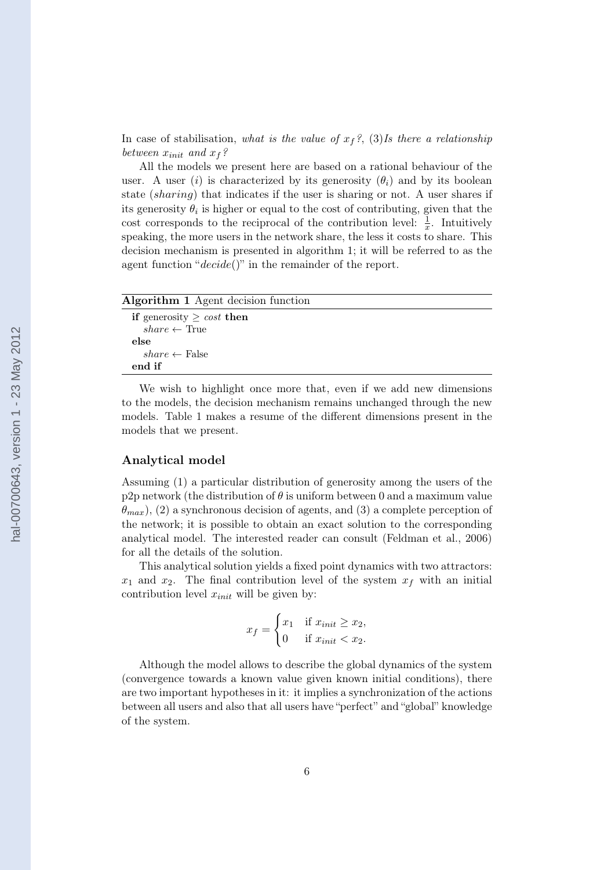In case of stabilisation, what is the value of  $x_f$ ?, (3)Is there a relationship between  $x_{init}$  and  $x_f$ ?

All the models we present here are based on a rational behaviour of the user. A user (i) is characterized by its generosity  $(\theta_i)$  and by its boolean state (sharing) that indicates if the user is sharing or not. A user shares if its generosity  $\theta_i$  is higher or equal to the cost of contributing, given that the cost corresponds to the reciprocal of the contribution level:  $\frac{1}{x}$ . Intuitively speaking, the more users in the network share, the less it costs to share. This decision mechanism is presented in algorithm [1;](#page-1-0) it will be referred to as the agent function " $decide()$ " in the remainder of the report.

| Algorithm 1 Agent decision function |
|-------------------------------------|
| if generosity $\geq cost$ then      |
| $share \leftarrow True$             |
| else                                |
| $share \leftarrow False$            |
| end if                              |

We wish to highlight once more that, even if we add new dimensions to the models, the decision mechanism remains unchanged through the new models. Table [1](#page-11-0) makes a resume of the different dimensions present in the models that we present.

#### Analytical model

Assuming (1) a particular distribution of generosity among the users of the p2p network (the distribution of  $\theta$  is uniform between 0 and a maximum value  $\theta_{max}$ ), (2) a synchronous decision of agents, and (3) a complete perception of the network; it is possible to obtain an exact solution to the corresponding analytical model. The interested reader can consult [\(Feldman et al., 2006\)](#page-20-0) for all the details of the solution.

This analytical solution yields a fixed point dynamics with two attractors:  $x_1$  and  $x_2$ . The final contribution level of the system  $x_f$  with an initial contribution level  $x_{init}$  will be given by:

$$
x_f = \begin{cases} x_1 & \text{if } x_{init} \ge x_2, \\ 0 & \text{if } x_{init} < x_2. \end{cases}
$$

Although the model allows to describe the global dynamics of the system (convergence towards a known value given known initial conditions), there are two important hypotheses in it: it implies a synchronization of the actions between all users and also that all users have "perfect" and "global" knowledge of the system.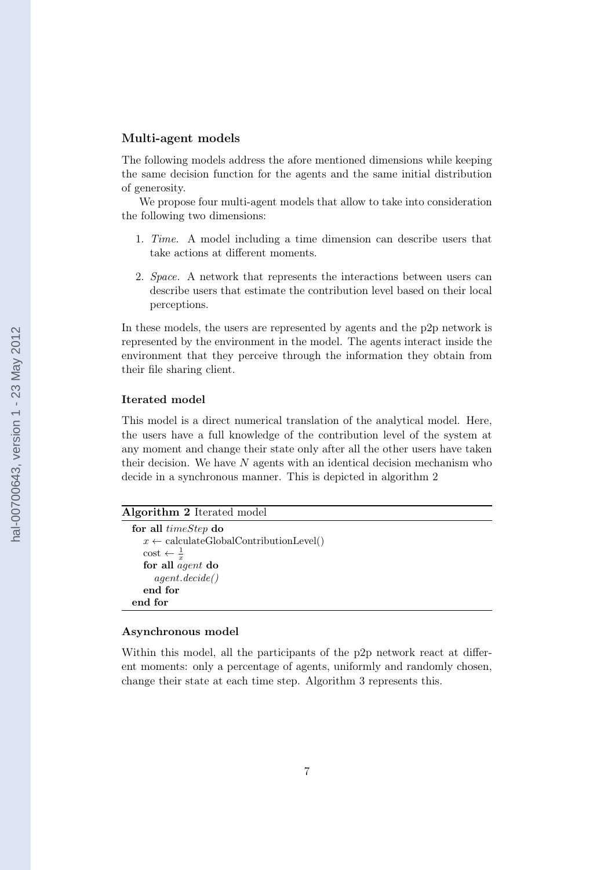#### Multi-agent models

The following models address the afore mentioned dimensions while keeping the same decision function for the agents and the same initial distribution of generosity.

We propose four multi-agent models that allow to take into consideration the following two dimensions:

- 1. Time. A model including a time dimension can describe users that take actions at different moments.
- 2. Space. A network that represents the interactions between users can describe users that estimate the contribution level based on their local perceptions.

In these models, the users are represented by agents and the p2p network is represented by the environment in the model. The agents interact inside the environment that they perceive through the information they obtain from their file sharing client.

#### Iterated model

This model is a direct numerical translation of the analytical model. Here, the users have a full knowledge of the contribution level of the system at any moment and change their state only after all the other users have taken their decision. We have  $N$  agents with an identical decision mechanism who decide in a synchronous manner. This is depicted in algorithm [2](#page-1-0)

| Algorithm 2 Iterated model |  |
|----------------------------|--|
|----------------------------|--|

for all timeStep do  $x \leftarrow \text{calculateGlobalContributionLevel}()$  $\cos t \leftarrow \frac{1}{x}$ for all agent do agent.decide() end for end for

#### Asynchronous model

Within this model, all the participants of the p2p network react at different moments: only a percentage of agents, uniformly and randomly chosen, change their state at each time step. Algorithm [3](#page-1-0) represents this.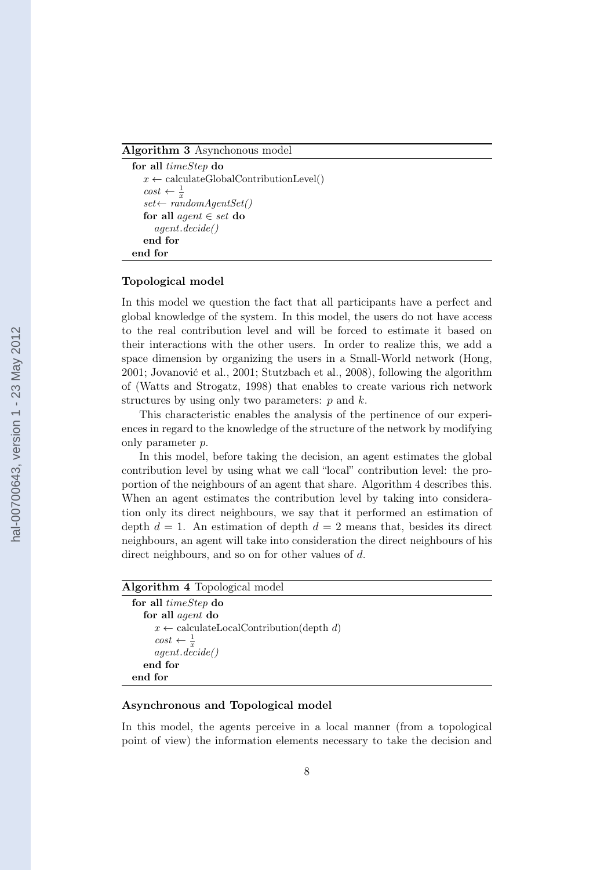#### Algorithm 3 Asynchonous model

```
for all timeStep do
   x \leftarrow \text{calculateGlobalContributionLevel}cost \leftarrow \frac{1}{x}set \leftarrow randomAgentSet()for all agent \in set do
      agent.decide()
   end for
end for
```
#### Topological model

In this model we question the fact that all participants have a perfect and global knowledge of the system. In this model, the users do not have access to the real contribution level and will be forced to estimate it based on their interactions with the other users. In order to realize this, we add a space dimension by organizing the users in a Small-World network [\(Hong,](#page-20-0) [2001; Jovanović et al., 2001;](#page-20-0) [Stutzbach et al., 2008\)](#page-21-0), following the algorithm of [\(Watts and Strogatz, 1998\)](#page-22-0) that enables to create various rich network structures by using only two parameters:  $p$  and  $k$ .

This characteristic enables the analysis of the pertinence of our experiences in regard to the knowledge of the structure of the network by modifying only parameter p.

In this model, before taking the decision, an agent estimates the global contribution level by using what we call "local" contribution level: the proportion of the neighbours of an agent that share. Algorithm [4](#page-1-0) describes this. When an agent estimates the contribution level by taking into consideration only its direct neighbours, we say that it performed an estimation of depth  $d = 1$ . An estimation of depth  $d = 2$  means that, besides its direct neighbours, an agent will take into consideration the direct neighbours of his direct neighbours, and so on for other values of d.

## Algorithm 4 Topological model

| for all <i>timeStep</i> do                                        |
|-------------------------------------------------------------------|
| for all <i>agent</i> do                                           |
| $x \leftarrow \text{calculateLocalContribution}(\text{depth } d)$ |
| $cost \leftarrow \frac{1}{x}$<br>agent.decide()                   |
|                                                                   |
| end for                                                           |
| end for                                                           |
|                                                                   |

### Asynchronous and Topological model

In this model, the agents perceive in a local manner (from a topological point of view) the information elements necessary to take the decision and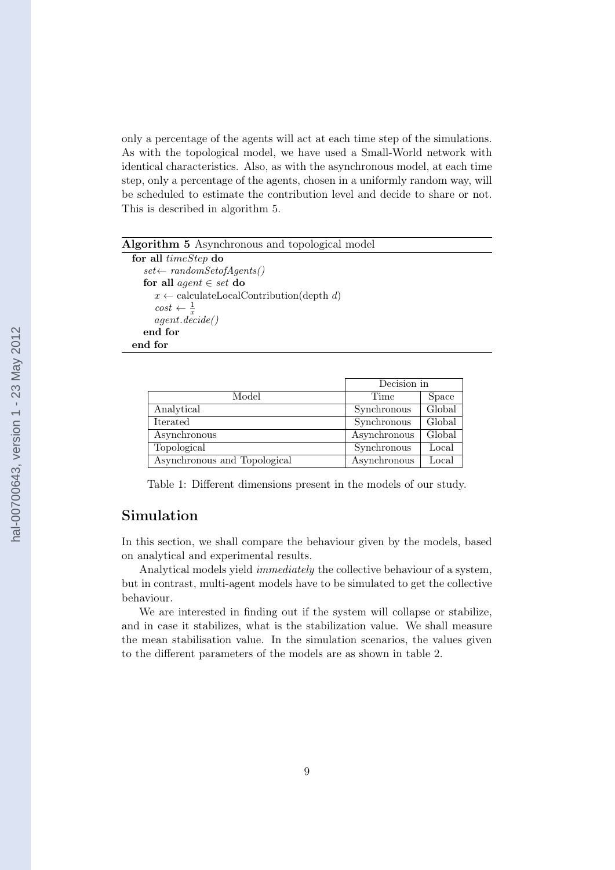<span id="page-11-0"></span>only a percentage of the agents will act at each time step of the simulations. As with the topological model, we have used a Small-World network with identical characteristics. Also, as with the asynchronous model, at each time step, only a percentage of the agents, chosen in a uniformly random way, will be scheduled to estimate the contribution level and decide to share or not. This is described in algorithm [5.](#page-1-0)

### Algorithm 5 Asynchronous and topological model

for all timeStep do  $set \leftarrow randomSet of Agents()$ for all *agent*  $\in$  *set* do  $x \leftarrow \text{calculateLocalContinution}(\text{depth } d)$  $cost \leftarrow \frac{1}{x}$ agent.decide() end for end for

|                              | Decision in  |        |
|------------------------------|--------------|--------|
| Model                        | Time         | Space  |
| Analytical                   | Synchronous  | Global |
| Iterated                     | Synchronous  | Global |
| Asynchronous                 | Asynchronous | Global |
| Topological                  | Synchronous  | Local  |
| Asynchronous and Topological | Asynchronous | Local  |

Table 1: Different dimensions present in the models of our study.

## Simulation

In this section, we shall compare the behaviour given by the models, based on analytical and experimental results.

Analytical models yield immediately the collective behaviour of a system, but in contrast, multi-agent models have to be simulated to get the collective behaviour.

We are interested in finding out if the system will collapse or stabilize, and in case it stabilizes, what is the stabilization value. We shall measure the mean stabilisation value. In the simulation scenarios, the values given to the different parameters of the models are as shown in table [2.](#page-12-0)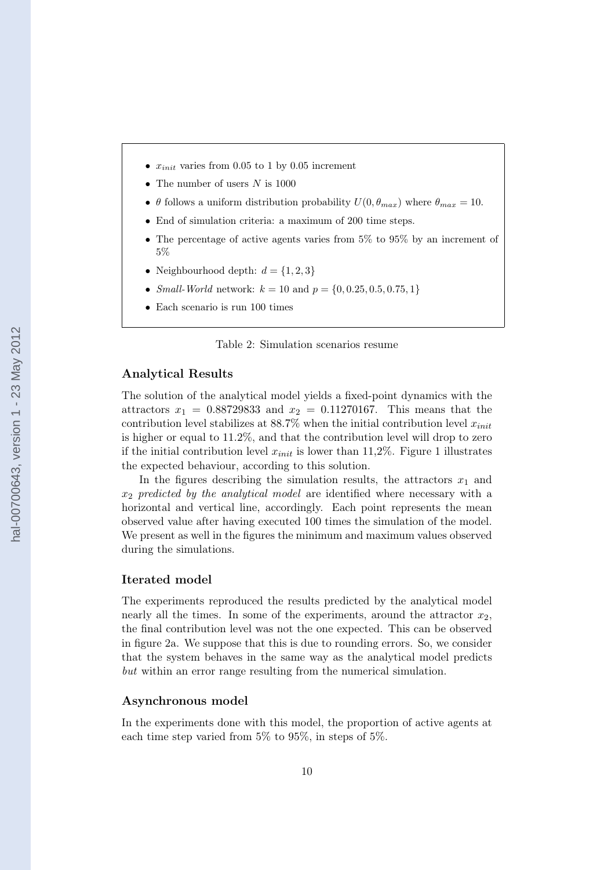- <span id="page-12-0"></span>•  $x_{init}$  varies from 0.05 to 1 by 0.05 increment
- The number of users  $N$  is 1000
- $\theta$  follows a uniform distribution probability  $U(0, \theta_{max})$  where  $\theta_{max} = 10$ .
- End of simulation criteria: a maximum of 200 time steps.
- The percentage of active agents varies from  $5\%$  to  $95\%$  by an increment of 5%
- Neighbourhood depth:  $d = \{1, 2, 3\}$
- Small-World network:  $k = 10$  and  $p = \{0, 0.25, 0.5, 0.75, 1\}$
- Each scenario is run 100 times

Table 2: Simulation scenarios resume

#### Analytical Results

The solution of the analytical model yields a fixed-point dynamics with the attractors  $x_1 = 0.88729833$  and  $x_2 = 0.11270167$ . This means that the contribution level stabilizes at  $88.7\%$  when the initial contribution level  $x_{init}$ is higher or equal to 11.2%, and that the contribution level will drop to zero if the initial contribution level  $x_{init}$  is lower than [1](#page-13-0)1,2%. Figure 1 illustrates the expected behaviour, according to this solution.

In the figures describing the simulation results, the attractors  $x_1$  and  $x_2$  predicted by the analytical model are identified where necessary with a horizontal and vertical line, accordingly. Each point represents the mean observed value after having executed 100 times the simulation of the model. We present as well in the figures the minimum and maximum values observed during the simulations.

#### Iterated model

The experiments reproduced the results predicted by the analytical model nearly all the times. In some of the experiments, around the attractor  $x_2$ , the final contribution level was not the one expected. This can be observed in figure [2a.](#page-15-0) We suppose that this is due to rounding errors. So, we consider that the system behaves in the same way as the analytical model predicts but within an error range resulting from the numerical simulation.

#### Asynchronous model

In the experiments done with this model, the proportion of active agents at each time step varied from 5% to 95%, in steps of 5%.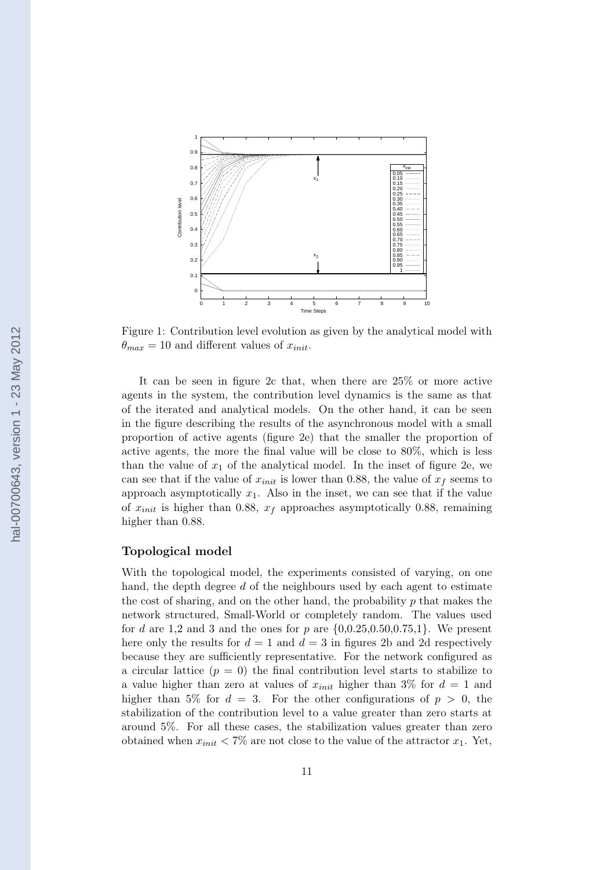<span id="page-13-0"></span>

Figure 1: Contribution level evolution as given by the analytical model with  $\theta_{max} = 10$  and different values of  $x_{init}$ .

It can be seen in figure [2c](#page-15-0) that, when there are 25% or more active agents in the system, the contribution level dynamics is the same as that of the iterated and analytical models. On the other hand, it can be seen in the figure describing the results of the asynchronous model with a small proportion of active agents (figure [2e\)](#page-15-0) that the smaller the proportion of active agents, the more the final value will be close to 80%, which is less than the value of  $x_1$  of the analytical model. In the inset of figure [2e,](#page-15-0) we can see that if the value of  $x_{init}$  is lower than 0.88, the value of  $x_f$  seems to approach asymptotically  $x_1$ . Also in the inset, we can see that if the value of  $x_{init}$  is higher than 0.88,  $x_f$  approaches asymptotically 0.88, remaining higher than  $0.88$ .

#### Topological model

With the topological model, the experiments consisted of varying, on one hand, the depth degree  $d$  of the neighbours used by each agent to estimate the cost of sharing, and on the other hand, the probability  $p$  that makes the network structured, Small-World or completely random. The values used for d are 1.2 and 3 and the ones for p are  $\{0.0.25, 0.50, 0.75, 1\}$ . We present here only the results for  $d = 1$  and  $d = 3$  in figures [2b](#page-15-0) and [2d](#page-15-0) respectively because they are sufficiently representative. For the network configured as a circular lattice  $(p = 0)$  the final contribution level starts to stabilize to a value higher than zero at values of  $x_{init}$  higher than 3% for  $d = 1$  and higher than 5% for  $d = 3$ . For the other configurations of  $p > 0$ , the stabilization of the contribution level to a value greater than zero starts at around 5%. For all these cases, the stabilization values greater than zero obtained when  $x_{init} < 7\%$  are not close to the value of the attractor  $x_1$ . Yet,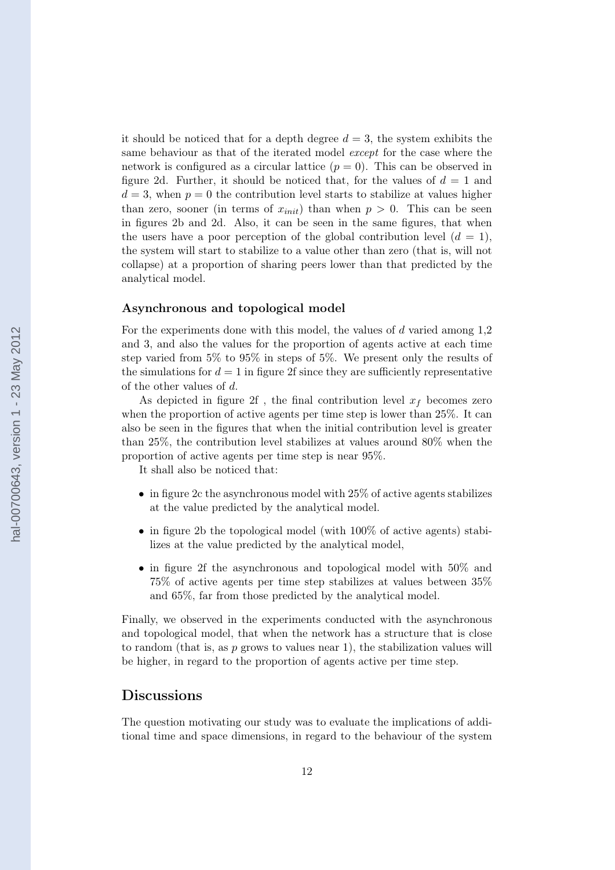it should be noticed that for a depth degree  $d = 3$ , the system exhibits the same behaviour as that of the iterated model except for the case where the network is configured as a circular lattice  $(p = 0)$ . This can be observed in figure [2d.](#page-15-0) Further, it should be noticed that, for the values of  $d = 1$  and  $d = 3$ , when  $p = 0$  the contribution level starts to stabilize at values higher than zero, sooner (in terms of  $x_{init}$ ) than when  $p > 0$ . This can be seen in figures [2b](#page-15-0) and [2d.](#page-15-0) Also, it can be seen in the same figures, that when the users have a poor perception of the global contribution level  $(d = 1)$ , the system will start to stabilize to a value other than zero (that is, will not collapse) at a proportion of sharing peers lower than that predicted by the analytical model.

#### Asynchronous and topological model

For the experiments done with this model, the values of  $d$  varied among 1,2 and 3, and also the values for the proportion of agents active at each time step varied from 5% to 95% in steps of 5%. We present only the results of the simulations for  $d = 1$  in figure [2f](#page-15-0) since they are sufficiently representative of the other values of d.

As depicted in figure [2f](#page-15-0), the final contribution level  $x_f$  becomes zero when the proportion of active agents per time step is lower than 25%. It can also be seen in the figures that when the initial contribution level is greater than 25%, the contribution level stabilizes at values around 80% when the proportion of active agents per time step is near 95%.

It shall also be noticed that:

- in figure [2c](#page-15-0) the asynchronous model with  $25\%$  of active agents stabilizes at the value predicted by the analytical model.
- in figure [2b](#page-15-0) the topological model (with  $100\%$  of active agents) stabilizes at the value predicted by the analytical model,
- in figure [2f](#page-15-0) the asynchronous and topological model with 50% and 75% of active agents per time step stabilizes at values between 35% and 65%, far from those predicted by the analytical model.

Finally, we observed in the experiments conducted with the asynchronous and topological model, that when the network has a structure that is close to random (that is, as  $p$  grows to values near 1), the stabilization values will be higher, in regard to the proportion of agents active per time step.

## Discussions

The question motivating our study was to evaluate the implications of additional time and space dimensions, in regard to the behaviour of the system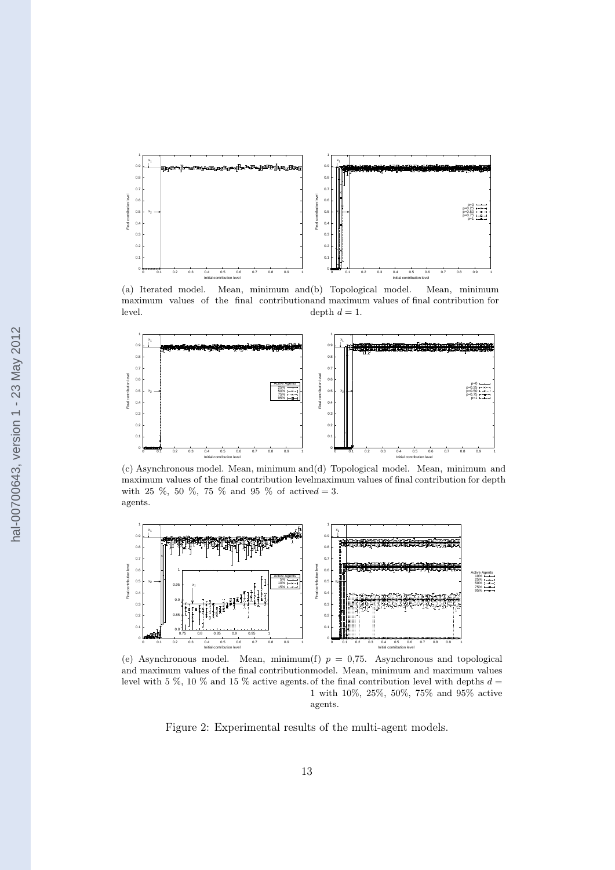<span id="page-15-0"></span>

(a) Iterated model. Mean, minimum and (b) Topological model. Mean, minimum maximum values of the final contribution and maximum values of final contribution for level. depth  $d = 1$ .



(c) Asynchronous model. Mean, minimum and (d) Topological model. Mean, minimum and maximum values of the final contribution level maximum values of final contribution for depth with 25 %, 50 %, 75 % and 95 % of actived = 3. agents.



(e) Asynchronous model. Mean, minimum(f)  $p = 0.75$ . Asynchronous and topological and maximum values of the final contribution model. Mean, minimum and maximum values level with 5 %, 10 % and 15 % active agents of the final contribution level with depths  $d =$ 1 with 10%, 25%, 50%, 75% and 95% active agents.

Figure 2: Experimental results of the multi-agent models.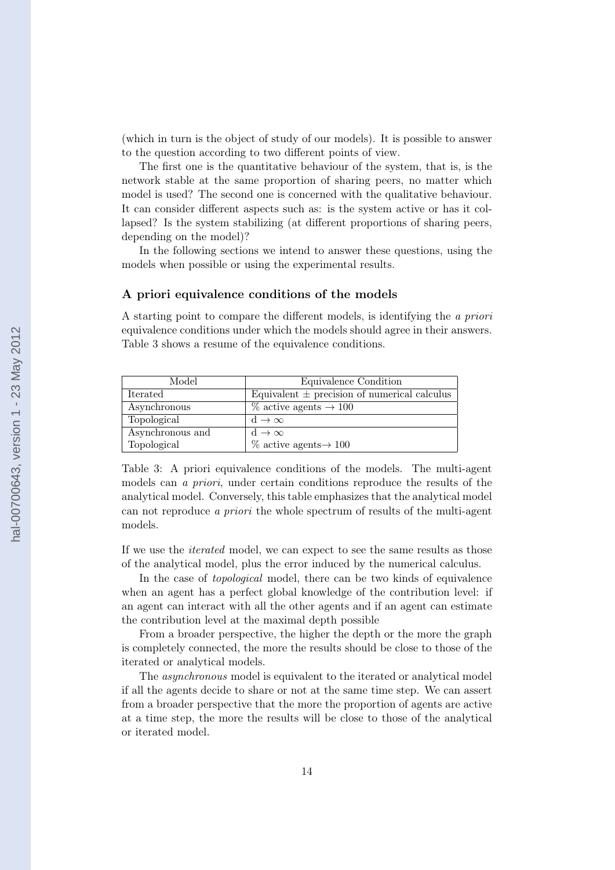(which in turn is the object of study of our models). It is possible to answer to the question according to two different points of view.

The first one is the quantitative behaviour of the system, that is, is the network stable at the same proportion of sharing peers, no matter which model is used? The second one is concerned with the qualitative behaviour. It can consider different aspects such as: is the system active or has it collapsed? Is the system stabilizing (at different proportions of sharing peers, depending on the model)?

In the following sections we intend to answer these questions, using the models when possible or using the experimental results.

#### A priori equivalence conditions of the models

A starting point to compare the different models, is identifying the a priori equivalence conditions under which the models should agree in their answers. Table 3 shows a resume of the equivalence conditions.

| Model            | Equivalence Condition                            |
|------------------|--------------------------------------------------|
| Iterated         | Equivalent $\pm$ precision of numerical calculus |
| Asynchronous     | $\%$ active agents $\rightarrow$ 100             |
| Topological      | $d \to \infty$                                   |
| Asynchronous and | $d \to \infty$                                   |
| Topological      | $\%$ active agents $\rightarrow$ 100             |

Table 3: A priori equivalence conditions of the models. The multi-agent models can a priori, under certain conditions reproduce the results of the analytical model. Conversely, this table emphasizes that the analytical model can not reproduce a priori the whole spectrum of results of the multi-agent models.

If we use the iterated model, we can expect to see the same results as those of the analytical model, plus the error induced by the numerical calculus.

In the case of *topological* model, there can be two kinds of equivalence when an agent has a perfect global knowledge of the contribution level: if an agent can interact with all the other agents and if an agent can estimate the contribution level at the maximal depth possible

From a broader perspective, the higher the depth or the more the graph is completely connected, the more the results should be close to those of the iterated or analytical models.

The asynchronous model is equivalent to the iterated or analytical model if all the agents decide to share or not at the same time step. We can assert from a broader perspective that the more the proportion of agents are active at a time step, the more the results will be close to those of the analytical or iterated model.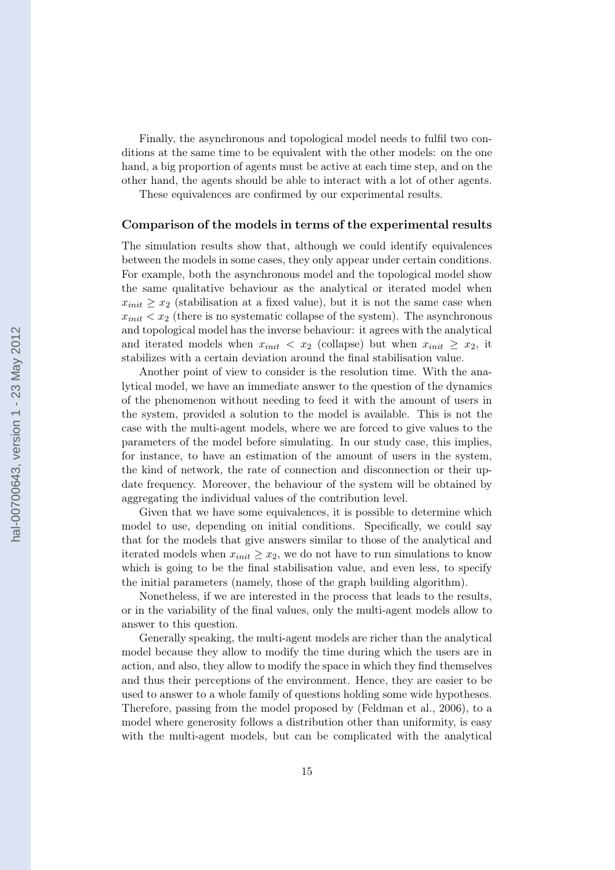Finally, the asynchronous and topological model needs to fulfil two conditions at the same time to be equivalent with the other models: on the one hand, a big proportion of agents must be active at each time step, and on the other hand, the agents should be able to interact with a lot of other agents.

These equivalences are confirmed by our experimental results.

#### Comparison of the models in terms of the experimental results

The simulation results show that, although we could identify equivalences between the models in some cases, they only appear under certain conditions. For example, both the asynchronous model and the topological model show the same qualitative behaviour as the analytical or iterated model when  $x_{init} \geq x_2$  (stabilisation at a fixed value), but it is not the same case when  $x_{init} < x_2$  (there is no systematic collapse of the system). The asynchronous and topological model has the inverse behaviour: it agrees with the analytical and iterated models when  $x_{init} < x_2$  (collapse) but when  $x_{init} \ge x_2$ , it stabilizes with a certain deviation around the final stabilisation value.

Another point of view to consider is the resolution time. With the analytical model, we have an immediate answer to the question of the dynamics of the phenomenon without needing to feed it with the amount of users in the system, provided a solution to the model is available. This is not the case with the multi-agent models, where we are forced to give values to the parameters of the model before simulating. In our study case, this implies, for instance, to have an estimation of the amount of users in the system, the kind of network, the rate of connection and disconnection or their update frequency. Moreover, the behaviour of the system will be obtained by aggregating the individual values of the contribution level.

Given that we have some equivalences, it is possible to determine which model to use, depending on initial conditions. Specifically, we could say that for the models that give answers similar to those of the analytical and iterated models when  $x_{init} \geq x_2$ , we do not have to run simulations to know which is going to be the final stabilisation value, and even less, to specify the initial parameters (namely, those of the graph building algorithm).

Nonetheless, if we are interested in the process that leads to the results, or in the variability of the final values, only the multi-agent models allow to answer to this question.

Generally speaking, the multi-agent models are richer than the analytical model because they allow to modify the time during which the users are in action, and also, they allow to modify the space in which they find themselves and thus their perceptions of the environment. Hence, they are easier to be used to answer to a whole family of questions holding some wide hypotheses. Therefore, passing from the model proposed by [\(Feldman et al., 2006\)](#page-20-0), to a model where generosity follows a distribution other than uniformity, is easy with the multi-agent models, but can be complicated with the analytical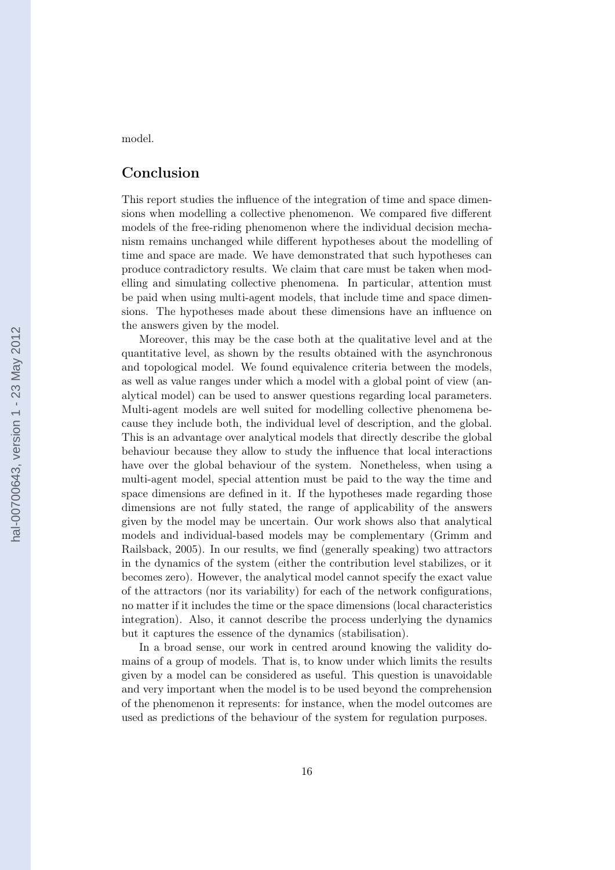model.

## Conclusion

This report studies the influence of the integration of time and space dimensions when modelling a collective phenomenon. We compared five different models of the free-riding phenomenon where the individual decision mechanism remains unchanged while different hypotheses about the modelling of time and space are made. We have demonstrated that such hypotheses can produce contradictory results. We claim that care must be taken when modelling and simulating collective phenomena. In particular, attention must be paid when using multi-agent models, that include time and space dimensions. The hypotheses made about these dimensions have an influence on the answers given by the model.

Moreover, this may be the case both at the qualitative level and at the quantitative level, as shown by the results obtained with the asynchronous and topological model. We found equivalence criteria between the models, as well as value ranges under which a model with a global point of view (analytical model) can be used to answer questions regarding local parameters. Multi-agent models are well suited for modelling collective phenomena because they include both, the individual level of description, and the global. This is an advantage over analytical models that directly describe the global behaviour because they allow to study the influence that local interactions have over the global behaviour of the system. Nonetheless, when using a multi-agent model, special attention must be paid to the way the time and space dimensions are defined in it. If the hypotheses made regarding those dimensions are not fully stated, the range of applicability of the answers given by the model may be uncertain. Our work shows also that analytical models and individual-based models may be complementary [\(Grimm and](#page-20-0) [Railsback, 2005\)](#page-20-0). In our results, we find (generally speaking) two attractors in the dynamics of the system (either the contribution level stabilizes, or it becomes zero). However, the analytical model cannot specify the exact value of the attractors (nor its variability) for each of the network configurations, no matter if it includes the time or the space dimensions (local characteristics integration). Also, it cannot describe the process underlying the dynamics but it captures the essence of the dynamics (stabilisation).

In a broad sense, our work in centred around knowing the validity domains of a group of models. That is, to know under which limits the results given by a model can be considered as useful. This question is unavoidable and very important when the model is to be used beyond the comprehension of the phenomenon it represents: for instance, when the model outcomes are used as predictions of the behaviour of the system for regulation purposes.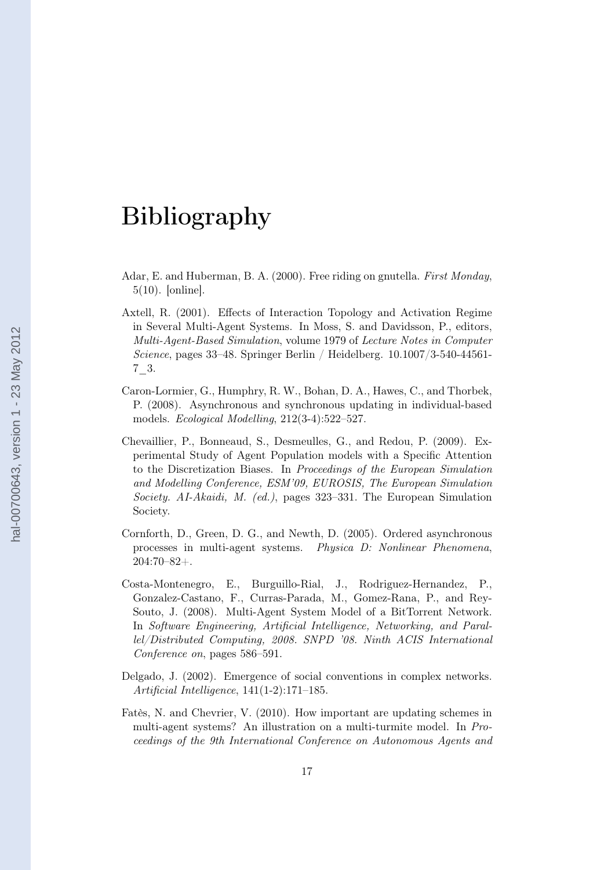## <span id="page-19-0"></span>Bibliography

- Adar, E. and Huberman, B. A. (2000). Free riding on gnutella. First Monday, 5(10). [online].
- Axtell, R. (2001). Effects of Interaction Topology and Activation Regime in Several Multi-Agent Systems. In Moss, S. and Davidsson, P., editors, Multi-Agent-Based Simulation, volume 1979 of Lecture Notes in Computer Science, pages 33–48. Springer Berlin / Heidelberg. 10.1007/3-540-44561- 7\_3.
- Caron-Lormier, G., Humphry, R. W., Bohan, D. A., Hawes, C., and Thorbek, P. (2008). Asynchronous and synchronous updating in individual-based models. Ecological Modelling, 212(3-4):522–527.
- Chevaillier, P., Bonneaud, S., Desmeulles, G., and Redou, P. (2009). Experimental Study of Agent Population models with a Specific Attention to the Discretization Biases. In Proceedings of the European Simulation and Modelling Conference, ESM'09, EUROSIS, The European Simulation Society. AI-Akaidi, M. (ed.), pages 323–331. The European Simulation Society.
- Cornforth, D., Green, D. G., and Newth, D. (2005). Ordered asynchronous processes in multi-agent systems. Physica D: Nonlinear Phenomena, 204:70–82+.
- Costa-Montenegro, E., Burguillo-Rial, J., Rodriguez-Hernandez, P., Gonzalez-Castano, F., Curras-Parada, M., Gomez-Rana, P., and Rey-Souto, J. (2008). Multi-Agent System Model of a BitTorrent Network. In Software Engineering, Artificial Intelligence, Networking, and Parallel/Distributed Computing, 2008. SNPD '08. Ninth ACIS International Conference on, pages 586–591.
- Delgado, J. (2002). Emergence of social conventions in complex networks. Artificial Intelligence, 141(1-2):171–185.
- Fatès, N. and Chevrier, V. (2010). How important are updating schemes in multi-agent systems? An illustration on a multi-turmite model. In Proceedings of the 9th International Conference on Autonomous Agents and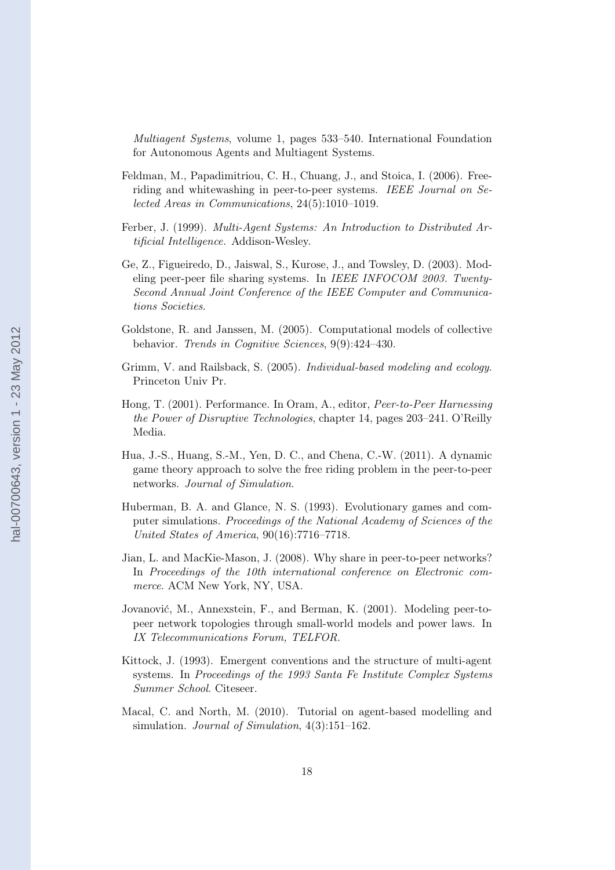<span id="page-20-0"></span>Multiagent Systems, volume 1, pages 533–540. International Foundation for Autonomous Agents and Multiagent Systems.

- Feldman, M., Papadimitriou, C. H., Chuang, J., and Stoica, I. (2006). Freeriding and whitewashing in peer-to-peer systems. IEEE Journal on Selected Areas in Communications, 24(5):1010–1019.
- Ferber, J. (1999). Multi-Agent Systems: An Introduction to Distributed Artificial Intelligence. Addison-Wesley.
- Ge, Z., Figueiredo, D., Jaiswal, S., Kurose, J., and Towsley, D. (2003). Modeling peer-peer file sharing systems. In IEEE INFOCOM 2003. Twenty-Second Annual Joint Conference of the IEEE Computer and Communications Societies.
- Goldstone, R. and Janssen, M. (2005). Computational models of collective behavior. Trends in Cognitive Sciences, 9(9):424–430.
- Grimm, V. and Railsback, S. (2005). Individual-based modeling and ecology. Princeton Univ Pr.
- Hong, T. (2001). Performance. In Oram, A., editor, Peer-to-Peer Harnessing the Power of Disruptive Technologies, chapter 14, pages 203–241. O'Reilly Media.
- Hua, J.-S., Huang, S.-M., Yen, D. C., and Chena, C.-W. (2011). A dynamic game theory approach to solve the free riding problem in the peer-to-peer networks. Journal of Simulation.
- Huberman, B. A. and Glance, N. S. (1993). Evolutionary games and computer simulations. Proceedings of the National Academy of Sciences of the United States of America, 90(16):7716–7718.
- Jian, L. and MacKie-Mason, J. (2008). Why share in peer-to-peer networks? In Proceedings of the 10th international conference on Electronic commerce. ACM New York, NY, USA.
- Jovanović, M., Annexstein, F., and Berman, K. (2001). Modeling peer-topeer network topologies through small-world models and power laws. In IX Telecommunications Forum, TELFOR.
- Kittock, J. (1993). Emergent conventions and the structure of multi-agent systems. In Proceedings of the 1993 Santa Fe Institute Complex Systems Summer School. Citeseer.
- Macal, C. and North, M. (2010). Tutorial on agent-based modelling and simulation. *Journal of Simulation*,  $4(3):151-162$ .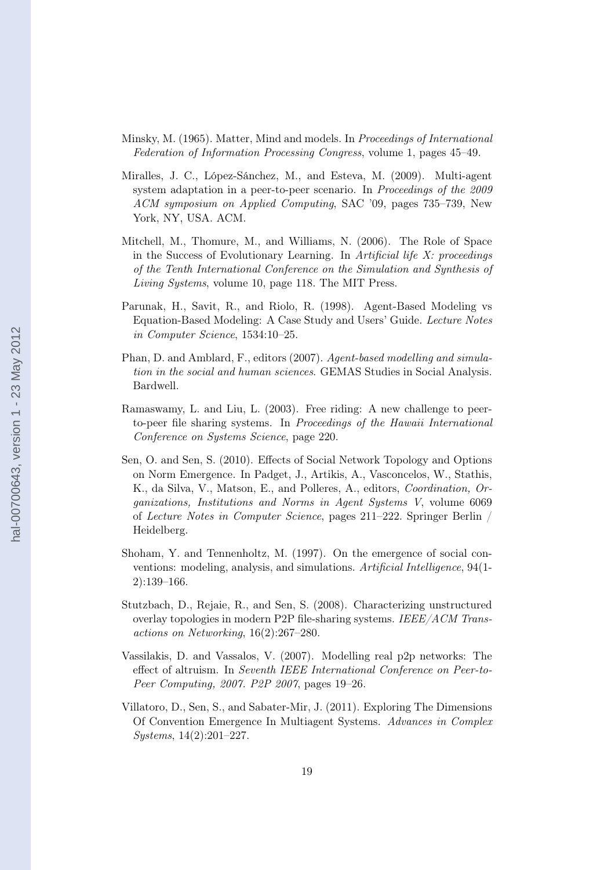- <span id="page-21-0"></span>Minsky, M. (1965). Matter, Mind and models. In Proceedings of International Federation of Information Processing Congress, volume 1, pages 45–49.
- Miralles, J. C., López-Sánchez, M., and Esteva, M. (2009). Multi-agent system adaptation in a peer-to-peer scenario. In Proceedings of the 2009 ACM symposium on Applied Computing, SAC '09, pages 735–739, New York, NY, USA. ACM.
- Mitchell, M., Thomure, M., and Williams, N. (2006). The Role of Space in the Success of Evolutionary Learning. In Artificial life X: proceedings of the Tenth International Conference on the Simulation and Synthesis of Living Systems, volume 10, page 118. The MIT Press.
- Parunak, H., Savit, R., and Riolo, R. (1998). Agent-Based Modeling vs Equation-Based Modeling: A Case Study and Users' Guide. Lecture Notes in Computer Science, 1534:10–25.
- Phan, D. and Amblard, F., editors (2007). Agent-based modelling and simulation in the social and human sciences. GEMAS Studies in Social Analysis. Bardwell.
- Ramaswamy, L. and Liu, L. (2003). Free riding: A new challenge to peerto-peer file sharing systems. In Proceedings of the Hawaii International Conference on Systems Science, page 220.
- Sen, O. and Sen, S. (2010). Effects of Social Network Topology and Options on Norm Emergence. In Padget, J., Artikis, A., Vasconcelos, W., Stathis, K., da Silva, V., Matson, E., and Polleres, A., editors, Coordination, Organizations, Institutions and Norms in Agent Systems V, volume 6069 of Lecture Notes in Computer Science, pages 211–222. Springer Berlin / Heidelberg.
- Shoham, Y. and Tennenholtz, M. (1997). On the emergence of social conventions: modeling, analysis, and simulations. Artificial Intelligence, 94(1- 2):139–166.
- Stutzbach, D., Rejaie, R., and Sen, S. (2008). Characterizing unstructured overlay topologies in modern P2P file-sharing systems. IEEE/ACM Transactions on Networking, 16(2):267–280.
- Vassilakis, D. and Vassalos, V. (2007). Modelling real p2p networks: The effect of altruism. In Seventh IEEE International Conference on Peer-to-Peer Computing, 2007. P2P 2007, pages 19–26.
- Villatoro, D., Sen, S., and Sabater-Mir, J. (2011). Exploring The Dimensions Of Convention Emergence In Multiagent Systems. Advances in Complex Systems, 14(2):201–227.